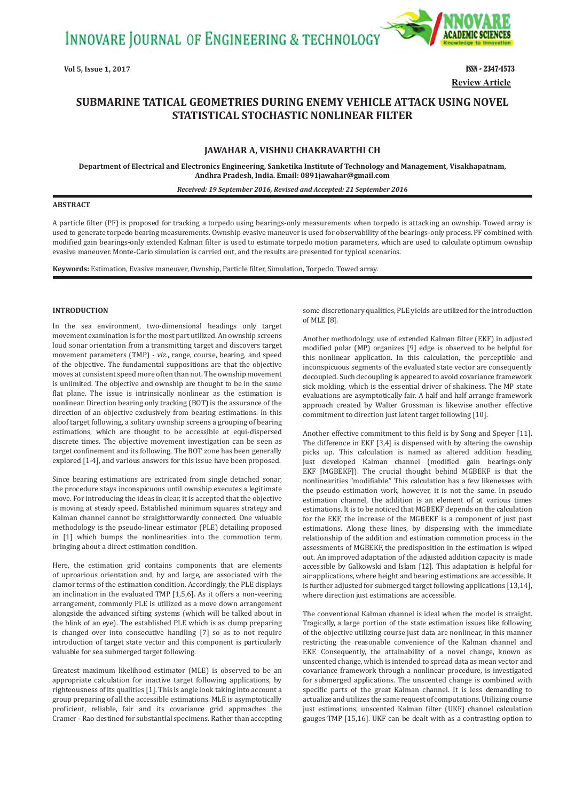INNOVARE JOURNAL OF ENGINEERING & TECHNOLOGY



**Vol 5, Issue 1, 2017 ISSN - 2347-1573 Review Article**

# **SUBMARINE TATICAL GEOMETRIES DURING ENEMY VEHICLE ATTACK USING NOVEL STATISTICAL STOCHASTIC NONLINEAR FILTER**

# **JAWAHAR A, VISHNU CHAKRAVARTHI CH**

**Department of Electrical and Electronics Engineering, Sanketika Institute of Technology and Management, Visakhapatnam, Andhra Pradesh, India. Email: 0891jawahar@gmail.com**

#### *Received: 19 September 2016, Revised and Accepted: 21 September 2016*

### **ABSTRACT**

A particle filter (PF) is proposed for tracking a torpedo using bearings-only measurements when torpedo is attacking an ownship. Towed array is used to generate torpedo bearing measurements. Ownship evasive maneuver is used for observability of the bearings-only process. PF combined with modified gain bearings-only extended Kalman filter is used to estimate torpedo motion parameters, which are used to calculate optimum ownship evasive maneuver. Monte-Carlo simulation is carried out, and the results are presented for typical scenarios.

**Keywords:** Estimation, Evasive maneuver, Ownship, Particle filter, Simulation, Torpedo, Towed array.

### **INTRODUCTION**

In the sea environment, two-dimensional headings only target movement examination is for the most part utilized. An ownship screens loud sonar orientation from a transmitting target and discovers target movement parameters (TMP) - *viz*., range, course, bearing, and speed of the objective. The fundamental suppositions are that the objective moves at consistent speed more often than not. The ownship movement is unlimited. The objective and ownship are thought to be in the same flat plane. The issue is intrinsically nonlinear as the estimation is nonlinear. Direction bearing only tracking (BOT) is the assurance of the direction of an objective exclusively from bearing estimations. In this aloof target following, a solitary ownship screens a grouping of bearing estimations, which are thought to be accessible at equi-dispersed discrete times. The objective movement investigation can be seen as target confinement and its following. The BOT zone has been generally explored [1-4], and various answers for this issue have been proposed.

Since bearing estimations are extricated from single detached sonar, the procedure stays inconspicuous until ownship executes a legitimate move. For introducing the ideas in clear, it is accepted that the objective is moving at steady speed. Established minimum squares strategy and Kalman channel cannot be straightforwardly connected. One valuable methodology is the pseudo-linear estimator (PLE) detailing proposed in [1] which bumps the nonlinearities into the commotion term, bringing about a direct estimation condition.

Here, the estimation grid contains components that are elements of uproarious orientation and, by and large, are associated with the clamor terms of the estimation condition. Accordingly, the PLE displays an inclination in the evaluated TMP [1,5,6]. As it offers a non-veering arrangement, commonly PLE is utilized as a move down arrangement alongside the advanced sifting systems (which will be talked about in the blink of an eye). The established PLE which is as clump preparing is changed over into consecutive handling [7] so as to not require introduction of target state vector and this component is particularly valuable for sea submerged target following.

Greatest maximum likelihood estimator (MLE) is observed to be an appropriate calculation for inactive target following applications, by righteousness of its qualities [1]. This is angle look taking into account a group preparing of all the accessible estimations. MLE is asymptotically proficient, reliable, fair and its covariance grid approaches the Cramer - Rao destined for substantial specimens. Rather than accepting some discretionary qualities, PLE yields are utilized for the introduction of MLE [8].

Another methodology, use of extended Kalman filter (EKF) in adjusted modified polar (MP) organizes [9] edge is observed to be helpful for this nonlinear application. In this calculation, the perceptible and inconspicuous segments of the evaluated state vector are consequently decoupled. Such decoupling is appeared to avoid covariance framework sick molding, which is the essential driver of shakiness. The MP state evaluations are asymptotically fair. A half and half arrange framework approach created by Walter Grossman is likewise another effective commitment to direction just latent target following [10].

Another effective commitment to this field is by Song and Speyer [11]. The difference in EKF [3,4] is dispensed with by altering the ownship picks up. This calculation is named as altered addition heading just developed Kalman channel (modified gain bearings-only EKF [MGBEKF]). The crucial thought behind MGBEKF is that the nonlinearities "modifiable." This calculation has a few likenesses with the pseudo estimation work, however, it is not the same. In pseudo estimation channel, the addition is an element of at various times estimations. It is to be noticed that MGBEKF depends on the calculation for the EKF, the increase of the MGBEKF is a component of just past estimations. Along these lines, by dispensing with the immediate relationship of the addition and estimation commotion process in the assessments of MGBEKF, the predisposition in the estimation is wiped out. An improved adaptation of the adjusted addition capacity is made accessible by Galkowski and Islam [12]. This adaptation is helpful for air applications, where height and bearing estimations are accessible. It is further adjusted for submerged target following applications [13,14], where direction just estimations are accessible.

The conventional Kalman channel is ideal when the model is straight. Tragically, a large portion of the state estimation issues like following of the objective utilizing course just data are nonlinear, in this manner restricting the reasonable convenience of the Kalman channel and EKF. Consequently, the attainability of a novel change, known as unscented change, which is intended to spread data as mean vector and covariance framework through a nonlinear procedure, is investigated for submerged applications. The unscented change is combined with specific parts of the great Kalman channel. It is less demanding to actualize and utilizes the same request of computations. Utilizing course just estimations, unscented Kalman filter (UKF) channel calculation gauges TMP [15,16]. UKF can be dealt with as a contrasting option to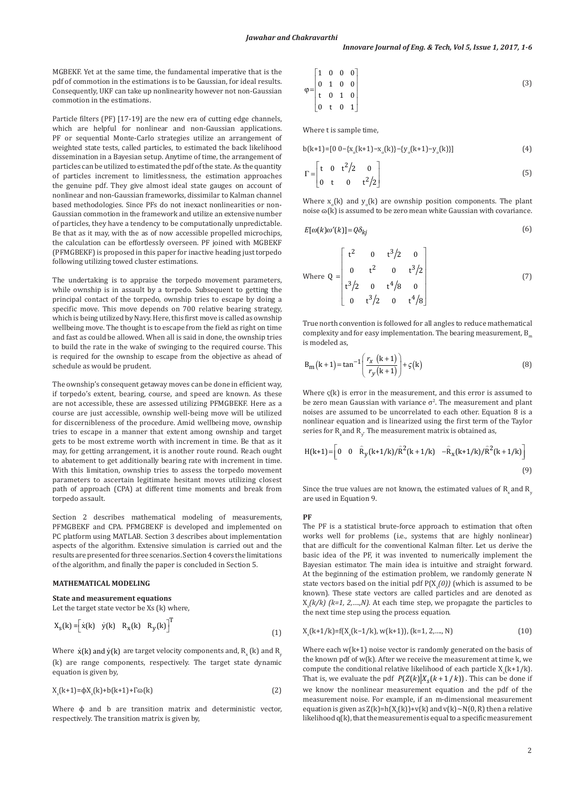MGBEKF. Yet at the same time, the fundamental imperative that is the pdf of commotion in the estimations is to be Gaussian, for ideal results. Consequently, UKF can take up nonlinearity however not non-Gaussian commotion in the estimations.

Particle filters (PF) [17-19] are the new era of cutting edge channels, which are helpful for nonlinear and non-Gaussian applications. PF or sequential Monte-Carlo strategies utilize an arrangement of weighted state tests, called particles, to estimated the back likelihood dissemination in a Bayesian setup. Anytime of time, the arrangement of particles can be utilized to estimated the pdf of the state. As the quantity of particles increment to limitlessness, the estimation approaches the genuine pdf. They give almost ideal state gauges on account of nonlinear and non-Gaussian frameworks, dissimilar to Kalman channel based methodologies. Since PFs do not inexact nonlinearities or non-Gaussian commotion in the framework and utilize an extensive number of particles, they have a tendency to be computationally unpredictable. Be that as it may, with the as of now accessible propelled microchips, the calculation can be effortlessly overseen. PF joined with MGBEKF (PFMGBEKF) is proposed in this paper for inactive heading just torpedo following utilizing towed cluster estimations.

The undertaking is to appraise the torpedo movement parameters, while ownship is in assault by a torpedo. Subsequent to getting the principal contact of the torpedo, ownship tries to escape by doing a specific move. This move depends on 700 relative bearing strategy, which is being utilized by Navy. Here, this first move is called as ownship wellbeing move. The thought is to escape from the field as right on time and fast as could be allowed. When all is said in done, the ownship tries to build the rate in the wake of swinging to the required course. This is required for the ownship to escape from the objective as ahead of schedule as would be prudent.

The ownship's consequent getaway moves can be done in efficient way, if torpedo's extent, bearing, course, and speed are known. As these are not accessible, these are assessed utilizing PFMGBEKF. Here as a course are just accessible, ownship well-being move will be utilized for discernibleness of the procedure. Amid wellbeing move, ownship tries to escape in a manner that extent among ownship and target gets to be most extreme worth with increment in time. Be that as it may, for getting arrangement, it is another route round. Reach ought to abatement to get additionally bearing rate with increment in time. With this limitation, ownship tries to assess the torpedo movement parameters to ascertain legitimate hesitant moves utilizing closest path of approach (CPA) at different time moments and break from torpedo assault.

Section 2 describes mathematical modeling of measurements, PFMGBEKF and CPA. PFMGBEKF is developed and implemented on PC platform using MATLAB. Section 3 describes about implementation aspects of the algorithm. Extensive simulation is carried out and the results are presented for three scenarios. Section 4 covers the limitations of the algorithm, and finally the paper is concluded in Section 5.

### **MATHEMATICAL MODELING**

**State and measurement equations** Let the target state vector be Xs (k) where,

$$
X_{s}(k) = \begin{bmatrix} \dot{x}(k) & \dot{y}(k) & R_{x}(k) & R_{y}(k) \end{bmatrix}^{T}
$$
\n(1)

Where  $\dot{\rm x}({\rm k})$  and  $\dot{\rm y}({\rm k})$  are target velocity components and,  ${\rm R_{_{\rm x}}}$  (k) and  ${\rm R_{_{\rm y}}}$ (k) are range components, respectively. The target state dynamic equation is given by,

$$
X_{s}(k+1)=\phi X_{s}(k)+b(k+1)+\Gamma\omega(k)
$$
\n(2)

Where  $\phi$  and  $b$  are transition matrix and deterministic vector, respectively. The transition matrix is given by,

$$
\varphi = \begin{bmatrix} 1 & 0 & 0 & 0 \\ 0 & 1 & 0 & 0 \\ t & 0 & 1 & 0 \\ 0 & t & 0 & 1 \end{bmatrix}
$$
 (3)

Where t is sample time,

$$
b(k+1) = [0 \ 0 - \{x_0(k+1) - x_0(k)\} - \{y_0(k+1) - y_0(k)\}] \tag{4}
$$

$$
\Gamma = \begin{bmatrix} t & 0 & t^2/2 & 0 \\ 0 & t & 0 & t^2/2 \end{bmatrix}
$$
 (5)

Where  $x_0(k)$  and  $y_0(k)$  are ownship position components. The plant noise  $\varphi(k)$  is assumed to be zero mean white Gaussian with covariance.

$$
E[\omega(k)\omega'(k)] = Q\delta_{kj} \tag{6}
$$

Where 
$$
Q = \begin{bmatrix} t^2 & 0 & t^3/2 & 0 \\ 0 & t^2 & 0 & t^3/2 \\ t^3/2 & 0 & t^4/8 & 0 \\ 0 & t^3/2 & 0 & t^4/8 \end{bmatrix}
$$
 (7)

True north convention is followed for all angles to reduce mathematical complexity and for easy implementation. The bearing measurement,  $B_m$ is modeled as,

$$
B_{m}(k+1) = \tan^{-1}\left(\frac{r_{x}(k+1)}{r_{y}(k+1)}\right) + \varsigma(k)
$$
 (8)

Where  $\varsigma(k)$  is error in the measurement, and this error is assumed to be zero mean Gaussian with variance  $\sigma^2$ . The measurement and plant noises are assumed to be uncorrelated to each other. Equation 8 is a nonlinear equation and is linearized using the first term of the Taylor series for  $\mathrm{R_{x}}$  and  $\mathrm{R_{y}}$ . The measurement matrix is obtained as,

$$
H(k+1) = \begin{bmatrix} 0 & 0 & \hat{R}_y(k+1/k)/\hat{R}^2(k+1/k) & -\hat{R}_x(k+1/k)/\hat{R}^2(k+1/k) \end{bmatrix}
$$
\n(9)

Since the true values are not known, the estimated values of  $R_{y}$  and  $R_{y}$ are used in Equation 9.

## **PF**

The PF is a statistical brute-force approach to estimation that often works well for problems (i.e., systems that are highly nonlinear) that are difficult for the conventional Kalman filter. Let us derive the basic idea of the PF, it was invented to numerically implement the Bayesian estimator. The main idea is intuitive and straight forward. At the beginning of the estimation problem, we randomly generate N state vectors based on the initial pdf  $P(X_s(0))$  (which is assumed to be known). These state vectors are called particles and are denoted as  $X_{s}(k/k)$  (k=1, 2,....,N). At each time step, we propagate the particles to the next time step using the process equation.

$$
X_s(k+1/k) = f(X_s(k-1/k), w(k+1)), (k=1, 2, \dots, N)
$$
\n(10)

Where each w(k+1) noise vector is randomly generated on the basis of the known pdf of w(k). After we receive the measurement at time k, we compute the conditional relative likelihood of each particle  $X_s(k+1/k)$ . That is, we evaluate the pdf  $P(Z(k)|X_s(k+1/k))$ . This can be done if we know the nonlinear measurement equation and the pdf of the measurement noise. For example, if an m-dimensional measurement equation is given as  $Z(k)=h(X_s(k))+v(k)$  and  $v(k)\sim N(0,R)$  then a relative likelihood q(k), that the measurement is equal to a specific measurement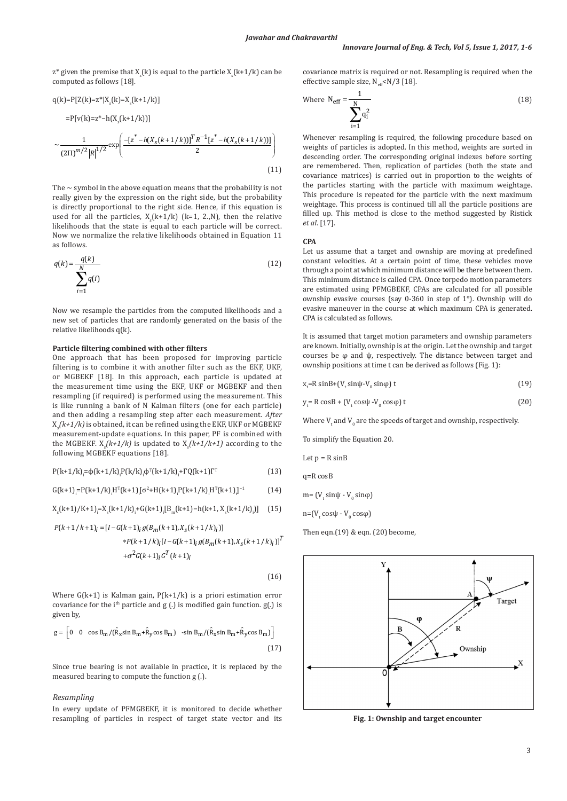$z^*$  given the premise that  $X_s(k)$  is equal to the particle  $X_s(k+1/k)$  can be computed as follows [18].

$$
q(k)=P[Z(k)=z^*|X_s(k)=X_s(k+1/k)]
$$
  
=P[v(k)=z^\*-h(X\_s(k+1/k))]  

$$
\sim \frac{1}{(2\Pi)^{m/2}|R|^{1/2}} \exp\left(\frac{-[z^*-h(X_s(k+1/k))]^T R^{-1}[z^*-h(X_s(k+1/k))]}{2}\right)
$$
  
(11)

The  $\sim$  symbol in the above equation means that the probability is not really given by the expression on the right side, but the probability is directly proportional to the right side. Hence, if this equation is used for all the particles,  $X_s(k+1/k)$  (k=1, 2.,N), then the relative likelihoods that the state is equal to each particle will be correct. Now we normalize the relative likelihoods obtained in Equation 11 as follows.

$$
q(k) = \frac{q(k)}{\sum_{i=1}^{N} q(i)}
$$
(12)

Now we resample the particles from the computed likelihoods and a new set of particles that are randomly generated on the basis of the relative likelihoods q(k).

### **Particle filtering combined with other filters**

One approach that has been proposed for improving particle filtering is to combine it with another filter such as the EKF, UKF, or MGBEKF [18]. In this approach, each particle is updated at the measurement time using the EKF, UKF or MGBEKF and then resampling (if required) is performed using the measurement. This is like running a bank of N Kalman filters (one for each particle) and then adding a resampling step after each measurement. *After* Xs *(k+1/k)* is obtained, it can be refined using the EKF, UKF or MGBEKF measurement-update equations. In this paper, PF is combined with the MGBEKF.  $X_s(k+1/k)$  is updated to  $X_s(k+1/k+1)$  according to the following MGBEKF equations [18].

$$
P(k+1/k)_{i} = \phi(k+1/k)_{i} P(k/k)_{i} \phi^{T}(k+1/k)_{i} + \Gamma Q(k+1)\Gamma^{T}
$$
\n(13)

$$
G(k+1)i = P(k+1/k)iHT(k+1)i[σ2+H(k+1)iP(k+1/k)iHT(k+1)i]-1
$$
 (14)

$$
X_{s}(k+1)/K+1]_{i} = X_{s}(k+1/k)_{i} + G(k+1)_{i}[B_{m}(k+1) - h(k+1, X_{s}(k+1/k))]
$$
 (15)

$$
P(k+1/k+1)_i = [I - G(k+1)_i g(B_m(k+1), X_s(k+1/k)_i)]
$$
  
 
$$
*P(k+1/k)_i [I - G(k+1)_i g(B_m(k+1), X_s(k+1/k)_i)]^T
$$
  
 
$$
+ \sigma^2 G(k+1)_i G^T(k+1)_i
$$

 $(16)$ 

Where  $G(k+1)$  is Kalman gain,  $P(k+1/k)$  is a priori estimation error covariance for the i<sup>th</sup> particle and  $g(.)$  is modified gain function.  $g(.)$  is given by,

$$
g = \left[0 \quad 0 \quad \cos B_m / (\hat{R}_x \sin B_m + \hat{R}_y \cos B_m) \quad \sin B_m / (\hat{R}_x \sin B_m + \hat{R}_y \cos B_m)\right]
$$
\n(17)

Since true bearing is not available in practice, it is replaced by the measured bearing to compute the function g (.).

### *Resampling*

In every update of PFMGBEKF, it is monitored to decide whether resampling of particles in respect of target state vector and its covariance matrix is required or not. Resampling is required when the effective sample size,  $N_{\text{eff}}$ <N/3 [18].

Where 
$$
N_{\text{eff}} = \frac{1}{\sum_{i=1}^{N} q_i^2}
$$
 (18)

Whenever resampling is required, the following procedure based on weights of particles is adopted. In this method, weights are sorted in descending order. The corresponding original indexes before sorting are remembered. Then, replication of particles (both the state and covariance matrices) is carried out in proportion to the weights of the particles starting with the particle with maximum weightage. This procedure is repeated for the particle with the next maximum weightage. This process is continued till all the particle positions are filled up. This method is close to the method suggested by Ristick *et al*. [17].

**CPA**

Let us assume that a target and ownship are moving at predefined constant velocities. At a certain point of time, these vehicles move through a point at which minimum distance will be there between them. This minimum distance is called CPA. Once torpedo motion parameters are estimated using PFMGBEKF, CPAs are calculated for all possible ownship evasive courses (say 0-360 in step of 1°). Ownship will do evasive maneuver in the course at which maximum CPA is generated. CPA is calculated as follows.

It is assumed that target motion parameters and ownship parameters are known. Initially, ownship is at the origin. Let the ownship and target courses be φ and ψ, respectively. The distance between target and ownship positions at time t can be derived as follows (Fig. 1):

$$
x_t = R \sin B + (V_t \sin \psi - V_0 \sin \phi) t \tag{19}
$$

$$
y_t = R \cos B + (V_t \cos \psi - V_0 \cos \phi) t
$$
 (20)

Where  $\bm{{\mathsf{V}}}_{\text{t}}$  and  $\bm{{\mathsf{V}}}_0$  are the speeds of target and ownship, respectively.

To simplify the Equation 20.

Let 
$$
p = R \sin B
$$

 $n = R$  cosB

$$
m = (V_{t} \sin \psi - V_{0} \sin \varphi)
$$

 $n=[V \cos \psi - V_0 \cos \phi]$ 

Then eqn. $(19)$  & eqn.  $(20)$  become,



**Fig. 1: Ownship and target encounter**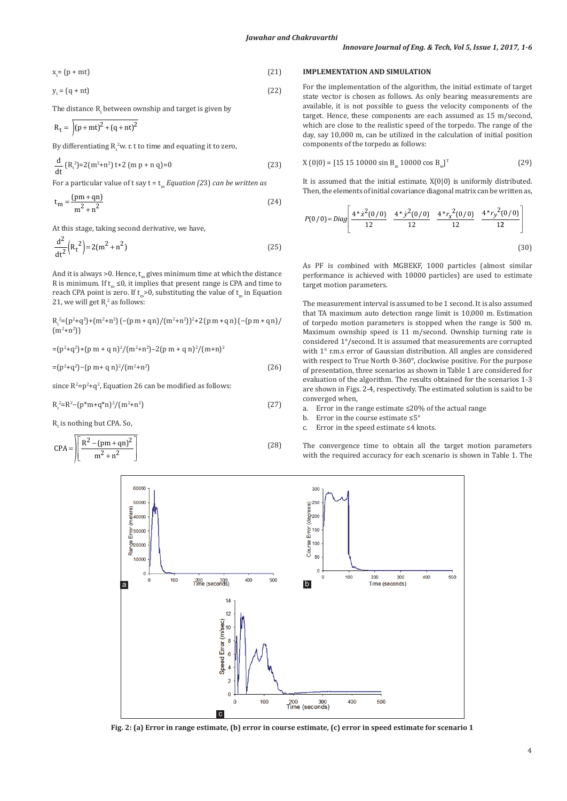$x = (p + mt)$  $= (p + mt)$  (21)

$$
y_t = (q + nt) \tag{22}
$$

The distance  $\mathtt{R}_\mathfrak{t}$  between ownship and target is given by

$$
R_t = \int (p+mt)^2 + (q+nt)^2
$$

By differentiating  $R_t^2$ w. r. t to time and equating it to zero,

$$
\frac{d}{dt} (R_t^2) = 2(m^2 + n^2) t + 2 (m p + n q) = 0
$$
\n(23)

For a particular value of t say t = tm *Equation (2*3) *can be written as*

$$
t_m = \frac{(pm+qn)}{m^2 + n^2}
$$
 (24)

At this stage, taking second derivative, we have,

$$
\frac{d^2}{dt^2} (R_t^2) = 2(m^2 + n^2)
$$
 (25)

And it is always >0. Hence,  $t_m$  gives minimum time at which the distance R is minimum. If  $t_m ≤0$ , it implies that present range is CPA and time to reach CPA point is zero. If  $t \geq 0$ , substituting the value of  $t_{\infty}$  in Equation 21, we will get  $R_t^2$  as follows:

 $R_t^2 = (p^2+q^2)+(m^2+n^2) (-p^2+q^2) (m^2+n^2))^2 + 2 (p^2+q^2) (-p^2+q^2)$  $(m^2+n^2)$ 

 $=(p^2+q^2)+(p m + q n)^2/(m^2+n^2)-2(p m + q n)^2/(m+n)^2$ 

 $=(p^2+q^2)-(p m+q n)^2/(m^2+n^2)$  $(26)$ 

since  $R^2 = p^2 + q^2$ , Equation 26 can be modified as follows:

$$
R_t^2 = R^2 - (p^*m + q^*n)^2 / (m^2 + n^2)
$$
\n(27)

 $R_t$  is nothing but CPA. So,

$$
CPA = \left[ \frac{R^2 - (pm + qn)^2}{m^2 + n^2} \right]
$$
 (28)

#### **IMPLEMENTATION AND SIMULATION**

For the implementation of the algorithm, the initial estimate of target state vector is chosen as follows. As only bearing measurements are available, it is not possible to guess the velocity components of the target. Hence, these components are each assumed as 15 m/second, which are close to the realistic speed of the torpedo. The range of the day, say 10,000 m, can be utilized in the calculation of initial position components of the torpedo as follows:

$$
X(0|0) = [15 15 10000 \sin B_{m} 10000 \cos B_{m}]^{T}
$$
 (29)

It is assumed that the initial estimate,  $X(0|0)$  is uniformly distributed. Then, the elements of initial covariance diagonal matrix can be written as,

$$
P(0/0) = Diag \left[ \frac{4 \times \dot{x}^2 (0/0)}{12} \quad \frac{4 \times \dot{y}^2 (0/0)}{12} \quad \frac{4 \times \dot{r}_x (0/0)}{12} \quad \frac{4 \times \dot{r}_y (0/0)}{12} \right]
$$
\n(30)

As PF is combined with MGBEKF, 1000 particles (almost similar performance is achieved with 10000 particles) are used to estimate target motion parameters.

The measurement interval is assumed to be 1 second. It is also assumed that TA maximum auto detection range limit is 10,000 m. Estimation of torpedo motion parameters is stopped when the range is 500 m. Maximum ownship speed is 11 m/second. Ownship turning rate is considered 1°/second. It is assumed that measurements are corrupted with 1° r.m.s error of Gaussian distribution. All angles are considered with respect to True North 0-360°, clockwise positive. For the purpose of presentation, three scenarios as shown in Table 1 are considered for evaluation of the algorithm. The results obtained for the scenarios 1-3 are shown in Figs. 2-4, respectively. The estimated solution is said to be converged when,<br>a. Frror in the p

The convergence time to obtain all the target motion parameters with the required accuracy for each scenario is shown in Table 1. The

Error in the range estimate ≤20% of the actual range

- b. Error in the course estimate ≤5°
- c. Error in the speed estimate ≤4 knots.



**Fig. 2: (a) Error in range estimate, (b) error in course estimate, (c) error in speed estimate for scenario 1**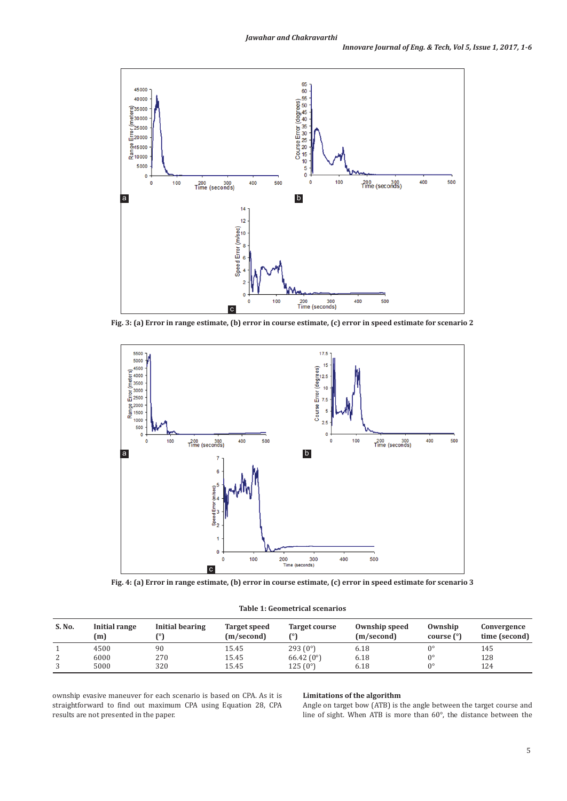

**Fig. 3: (a) Error in range estimate, (b) error in course estimate, (c) error in speed estimate for scenario 2**



**Fig. 4: (a) Error in range estimate, (b) error in course estimate, (c) error in speed estimate for scenario 3**

| S. No. | Initial range<br>(m) | Initial bearing | Target speed<br>(m/second) | <b>Target course</b><br>r٥١ | Ownship speed<br>(m/second) | Ownship<br>course $(°)$ | Convergence<br>time (second) |
|--------|----------------------|-----------------|----------------------------|-----------------------------|-----------------------------|-------------------------|------------------------------|
|        | 4500                 | 90              | 15.45                      | 293(0°)                     | 6.18                        |                         | 145                          |
|        | 6000                 | 270             | 15.45                      | 66.42 $(0^{\circ})$         | 6.18                        | n٥                      | 128                          |
|        | 5000                 | 320             | 15.45                      | 125(0°)                     | 6.18                        | n۰                      | 124                          |

ownship evasive maneuver for each scenario is based on CPA. As it is straightforward to find out maximum CPA using Equation 28, CPA results are not presented in the paper.

#### **Limitations of the algorithm**

Angle on target bow (ATB) is the angle between the target course and line of sight. When ATB is more than 60°, the distance between the